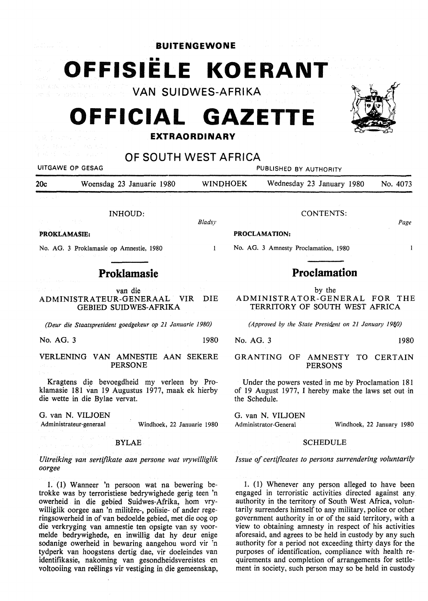**BUITENGEWONE** 

# •• **OFFISIELE KOERANT**

**VAN SUIDWES-AFRIKA** 

## **OFFICIAL GAZETTE**

#### **EXTRAORDINARY**



### **OF SOUTH WEST AFRICA**

| UITGAWE OP GESAG                                                | PUBLISHED BY AUTHORITY |                                                      |                                                                 |          |
|-----------------------------------------------------------------|------------------------|------------------------------------------------------|-----------------------------------------------------------------|----------|
| 20c<br>Woensdag 23 Januarie 1980                                | <b>WINDHOEK</b>        |                                                      | Wednesday 23 January 1980                                       | No. 4073 |
| associated to                                                   |                        |                                                      |                                                                 |          |
| INHOUD:                                                         |                        |                                                      | CONTENTS:                                                       |          |
|                                                                 | Bladsy                 |                                                      |                                                                 | Page     |
| <b>PROKLAMASIE:</b>                                             |                        |                                                      | <b>PROCLAMATION:</b>                                            |          |
| No. AG. 3 Proklamasie op Amnestie, 1980                         |                        |                                                      | No. AG. 3 Amnesty Proclamation, 1980                            |          |
| Proklamasie                                                     |                        |                                                      | <b>Proclamation</b>                                             |          |
| van die                                                         |                        |                                                      | by the                                                          |          |
| ADMINISTRATEUR-GENERAAL<br>VIR-<br><b>GEBIED SUIDWES-AFRIKA</b> | DIE.                   |                                                      | ADMINISTRATOR-GENERAL FOR THE<br>TERRITORY OF SOUTH WEST AFRICA |          |
| (Deur die Staatspresident goedgekeur op 21 Januarie 1980)       |                        | (Approved by the State President on 21 January 1980) |                                                                 |          |
| No. AG. 3                                                       | 1980                   | No. AG. 3                                            |                                                                 | 1980     |

VERLENING VAN AMNESTIE AAN SEKERE PERSONE

Kragtens die bevoegdheid my verleen by Proklamasie 181 van 19 Augustus 1977, maak ek hierby die wette in die Bylae vervat.

G. van N. VILJOEN Administrateur-generaal Windhoek, 22 Januarie 1980

BYLAE

*Uitreiking van sertifikate aan persone wat vrywilliglik oorgee* 

1. (1) Wanneer 'n persoon wat na bewering betrokke was by terroristiese bedrywighede gerig teen 'n owerheid in die gebied Suidwes-Afrika, horn vrywilliglik oorgee aan 'n militêre-, polisie- of ander regeringsowerheid in of van bedoelde gebied, met die oog op die verkryging van amnestie ten opsigte van sy voormelde bedrywighede, en inwillig dat hy deur enige sodanige owerheid in bewaring aangehou word vir 'n tydperk van hoogstens dertig dae, vir doeleindes van identifikasie, nakoming van gesondheidsvereistes en voltooiing van reelings vir vestiging in die gemeenskap, GRANTING OF AMNESTY TO CERTAIN PERSONS

Under the powers vested in me by Proclamation 181 of 19 August 1977, I hereby make the laws set out in the Schedule.

G. van N. VILJOEN

Administrator-General Windhoek, 22 January 1980

#### SCHEDULE

*Issue of certificates to persons surrendering voluntarily* 

l. (1) Whenever any person alleged to have been engaged in terroristic activities directed against any authority in the territory of South West Africa, voluntarily surrenders himself to any military, police or other government authority in or of the said territory, with a view to obtaining amnesty in respect of his activities aforesaid, and agrees to be held in custody by any such authority for a period not exceeding thirty days for the purposes of identification, compliance with health requirements and completion of arrangements for settlement in society, such person may so be held in custody